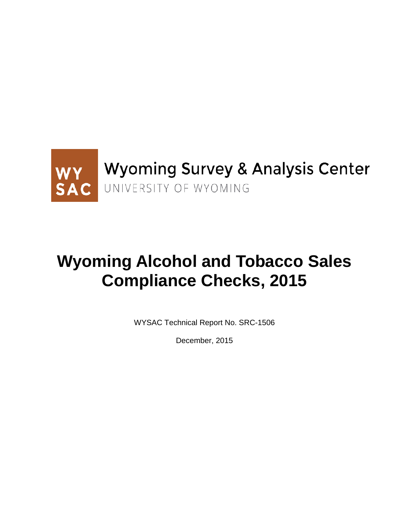

# **Wyoming Alcohol and Tobacco Sales Compliance Checks, 2015**

WYSAC Technical Report No. SRC-1506

December, 2015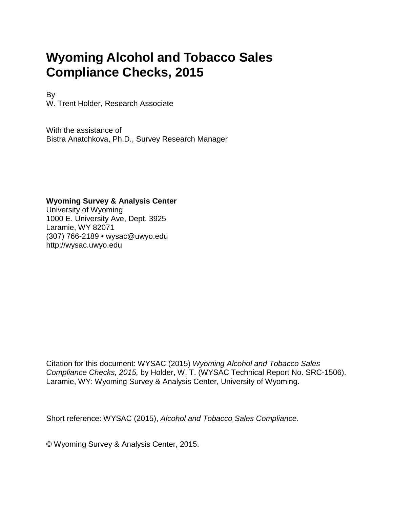# **Wyoming Alcohol and Tobacco Sales Compliance Checks, 2015**

By W. Trent Holder, Research Associate

With the assistance of Bistra Anatchkova, Ph.D., Survey Research Manager

### **Wyoming Survey & Analysis Center**

University of Wyoming 1000 E. University Ave, Dept. 3925 Laramie, WY 82071 (307) 766-2189 • wysac@uwyo.edu http://wysac.uwyo.edu

Citation for this document: WYSAC (2015) *Wyoming Alcohol and Tobacco Sales Compliance Checks, 2015,* by Holder, W. T. (WYSAC Technical Report No. SRC-1506). Laramie, WY: Wyoming Survey & Analysis Center, University of Wyoming.

Short reference: WYSAC (2015), *Alcohol and Tobacco Sales Compliance*.

© Wyoming Survey & Analysis Center, 2015.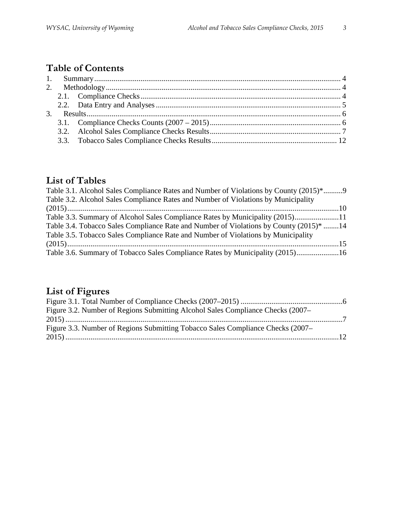## **Table of Contents**

## **List of Tables**

| Table 3.3. Summary of Alcohol Sales Compliance Rates by Municipality (2015)11          |
|----------------------------------------------------------------------------------------|
| Table 3.4. Tobacco Sales Compliance Rate and Number of Violations by County (2015)* 14 |
|                                                                                        |
|                                                                                        |
| Table 3.6. Summary of Tobacco Sales Compliance Rates by Municipality (2015)16          |
|                                                                                        |

# **List of Figures**

| Figure 3.2. Number of Regions Submitting Alcohol Sales Compliance Checks (2007– |  |
|---------------------------------------------------------------------------------|--|
|                                                                                 |  |
| Figure 3.3. Number of Regions Submitting Tobacco Sales Compliance Checks (2007– |  |
|                                                                                 |  |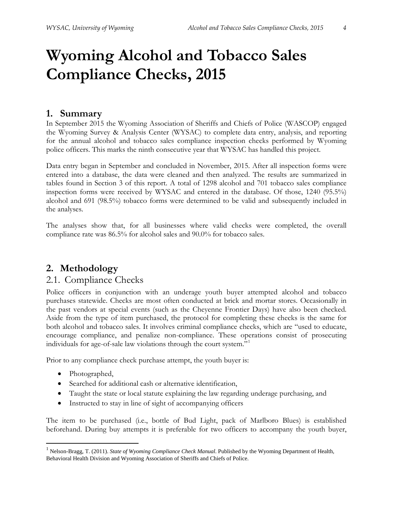# **Wyoming Alcohol and Tobacco Sales Compliance Checks, 2015**

### <span id="page-3-0"></span>**1. Summary**

In September 2015 the Wyoming Association of Sheriffs and Chiefs of Police (WASCOP) engaged the Wyoming Survey & Analysis Center (WYSAC) to complete data entry, analysis, and reporting for the annual alcohol and tobacco sales compliance inspection checks performed by Wyoming police officers. This marks the ninth consecutive year that WYSAC has handled this project.

Data entry began in September and concluded in November, 2015. After all inspection forms were entered into a database, the data were cleaned and then analyzed. The results are summarized in tables found in Section 3 of this report. A total of 1298 alcohol and 701 tobacco sales compliance inspection forms were received by WYSAC and entered in the database. Of those, 1240 (95.5%) alcohol and 691 (98.5%) tobacco forms were determined to be valid and subsequently included in the analyses.

The analyses show that, for all businesses where valid checks were completed, the overall compliance rate was 86.5% for alcohol sales and 90.0% for tobacco sales.

### <span id="page-3-1"></span>**2. Methodology**

### <span id="page-3-2"></span>2.1. Compliance Checks

Police officers in conjunction with an underage youth buyer attempted alcohol and tobacco purchases statewide. Checks are most often conducted at brick and mortar stores. Occasionally in the past vendors at special events (such as the Cheyenne Frontier Days) have also been checked. Aside from the type of item purchased, the protocol for completing these checks is the same for both alcohol and tobacco sales. It involves criminal compliance checks, which are "used to educate, encourage compliance, and penalize non-compliance. These operations consist of prosecuting individuals for age-of-sale law violations through the court system."[1](#page-3-3)

Prior to any compliance check purchase attempt, the youth buyer is:

- Photographed,
- Searched for additional cash or alternative identification,
- Taught the state or local statute explaining the law regarding underage purchasing, and
- Instructed to stay in line of sight of accompanying officers

The item to be purchased (i.e., bottle of Bud Light, pack of Marlboro Blues) is established beforehand. During buy attempts it is preferable for two officers to accompany the youth buyer,

<span id="page-3-3"></span> <sup>1</sup> Nelson-Bragg, T. (2011). *State of Wyoming Compliance Check Manual.* Published by the Wyoming Department of Health, Behavioral Health Division and Wyoming Association of Sheriffs and Chiefs of Police.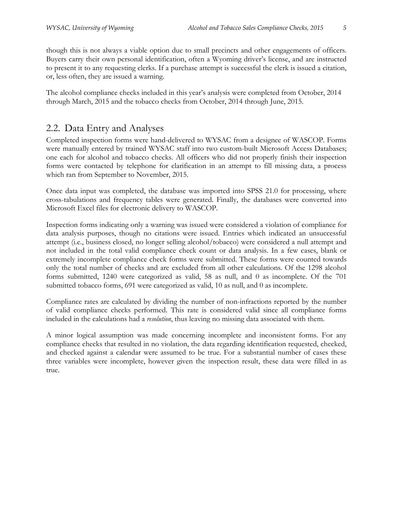though this is not always a viable option due to small precincts and other engagements of officers. Buyers carry their own personal identification, often a Wyoming driver's license, and are instructed to present it to any requesting clerks. If a purchase attempt is successful the clerk is issued a citation, or, less often, they are issued a warning.

The alcohol compliance checks included in this year's analysis were completed from October, 2014 through March, 2015 and the tobacco checks from October, 2014 through June, 2015.

## <span id="page-4-0"></span>2.2. Data Entry and Analyses

Completed inspection forms were hand-delivered to WYSAC from a designee of WASCOP. Forms were manually entered by trained WYSAC staff into two custom-built Microsoft Access Databases; one each for alcohol and tobacco checks. All officers who did not properly finish their inspection forms were contacted by telephone for clarification in an attempt to fill missing data, a process which ran from September to November, 2015.

Once data input was completed, the database was imported into SPSS 21.0 for processing, where cross-tabulations and frequency tables were generated. Finally, the databases were converted into Microsoft Excel files for electronic delivery to WASCOP.

Inspection forms indicating only a warning was issued were considered a violation of compliance for data analysis purposes, though no citations were issued. Entries which indicated an unsuccessful attempt (i.e., business closed, no longer selling alcohol/tobacco) were considered a null attempt and not included in the total valid compliance check count or data analysis. In a few cases, blank or extremely incomplete compliance check forms were submitted. These forms were counted towards only the total number of checks and are excluded from all other calculations. Of the 1298 alcohol forms submitted, 1240 were categorized as valid, 58 as null, and 0 as incomplete. Of the 701 submitted tobacco forms, 691 were categorized as valid, 10 as null, and 0 as incomplete.

Compliance rates are calculated by dividing the number of non-infractions reported by the number of valid compliance checks performed. This rate is considered valid since all compliance forms included in the calculations had a *resolution*, thus leaving no missing data associated with them.

A minor logical assumption was made concerning incomplete and inconsistent forms. For any compliance checks that resulted in no violation, the data regarding identification requested, checked, and checked against a calendar were assumed to be true. For a substantial number of cases these three variables were incomplete, however given the inspection result, these data were filled in as true.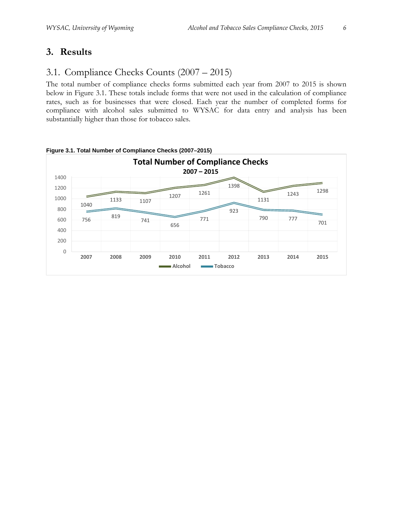## <span id="page-5-0"></span>**3. Results**

## <span id="page-5-1"></span>3.1. Compliance Checks Counts (2007 – 2015)

The total number of compliance checks forms submitted each year from 2007 to 2015 is shown below in Figure 3.1. These totals include forms that were not used in the calculation of compliance rates, such as for businesses that were closed. Each year the number of completed forms for compliance with alcohol sales submitted to WYSAC for data entry and analysis has been substantially higher than those for tobacco sales.



<span id="page-5-2"></span>**Figure 3.1. Total Number of Compliance Checks (2007–2015)**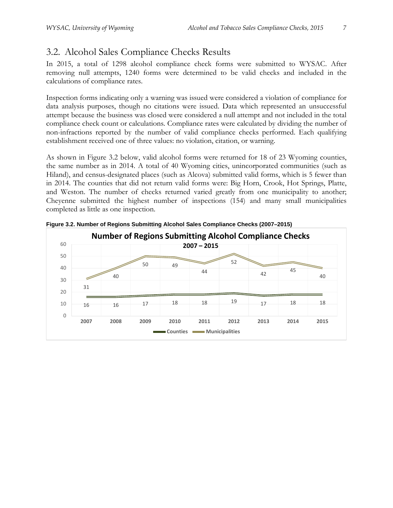## <span id="page-6-0"></span>3.2. Alcohol Sales Compliance Checks Results

In 2015, a total of 1298 alcohol compliance check forms were submitted to WYSAC. After removing null attempts, 1240 forms were determined to be valid checks and included in the calculations of compliance rates.

Inspection forms indicating only a warning was issued were considered a violation of compliance for data analysis purposes, though no citations were issued. Data which represented an unsuccessful attempt because the business was closed were considered a null attempt and not included in the total compliance check count or calculations. Compliance rates were calculated by dividing the number of non-infractions reported by the number of valid compliance checks performed. Each qualifying establishment received one of three values: no violation, citation, or warning.

As shown in Figure 3.2 below, valid alcohol forms were returned for 18 of 23 Wyoming counties, the same number as in 2014. A total of 40 Wyoming cities, unincorporated communities (such as Hiland), and [census-designated places](http://en.wikipedia.org/wiki/Census-designated_place) (such as Alcova) submitted valid forms, which is 5 fewer than in 2014. The counties that did not return valid forms were: Big Horn, Crook, Hot Springs, Platte, and Weston. The number of checks returned varied greatly from one municipality to another; Cheyenne submitted the highest number of inspections (154) and many small municipalities completed as little as one inspection.



<span id="page-6-1"></span>**Figure 3.2. Number of Regions Submitting Alcohol Sales Compliance Checks (2007–2015)**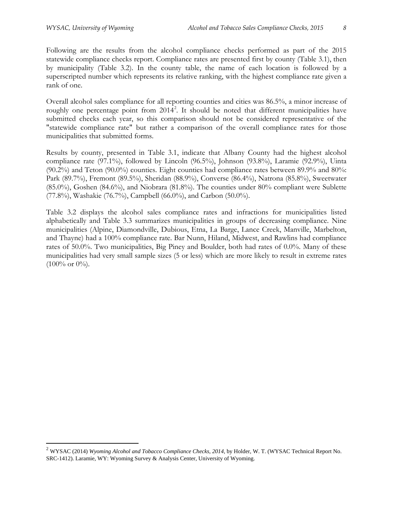Following are the results from the alcohol compliance checks performed as part of the 2015 statewide compliance checks report. Compliance rates are presented first by county (Table 3.1), then by municipality (Table 3.2). In the county table, the name of each location is followed by a superscripted number which represents its relative ranking, with the highest compliance rate given a rank of one.

Overall alcohol sales compliance for all reporting counties and cities was 86.5%, a minor increase of roughly one percentage point from  $2014^2$  $2014^2$ . It should be noted that different municipalities have submitted checks each year, so this comparison should not be considered representative of the "statewide compliance rate" but rather a comparison of the overall compliance rates for those municipalities that submitted forms.

Results by county, presented in Table 3.1, indicate that Albany County had the highest alcohol compliance rate (97.1%), followed by Lincoln (96.5%), Johnson (93.8%), Laramie (92.9%), Uinta  $(90.2\%)$  and Teton  $(90.0\%)$  counties. Eight counties had compliance rates between 89.9% and 80%: Park (89.7%), Fremont (89.5%), Sheridan (88.9%), Converse (86.4%), Natrona (85.8%), Sweetwater (85.0%), Goshen (84.6%), and Niobrara (81.8%). The counties under 80% compliant were Sublette (77.8%), Washakie (76.7%), Campbell (66.0%), and Carbon (50.0%).

Table 3.2 displays the alcohol sales compliance rates and infractions for municipalities listed alphabetically and Table 3.3 summarizes municipalities in groups of decreasing compliance. Nine municipalities (Alpine, Diamondville, Dubious, Etna, La Barge, Lance Creek, Manville, Marbelton, and Thayne) had a 100% compliance rate. Bar Nunn, Hiland, Midwest, and Rawlins had compliance rates of 50.0%. Two municipalities, Big Piney and Boulder, both had rates of 0.0%. Many of these municipalities had very small sample sizes (5 or less) which are more likely to result in extreme rates  $(100\% \text{ or } 0\%).$ 

<span id="page-7-0"></span><sup>&</sup>lt;sup>2</sup> WYSAC (2014) *Wyoming Alcohol and Tobacco Compliance Checks*, 2014, by Holder, W. T. (WYSAC Technical Report No. SRC-1412). Laramie, WY: Wyoming Survey & Analysis Center, University of Wyoming.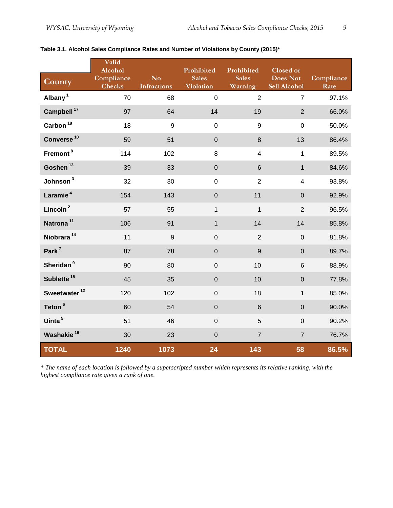|                          | Valid<br>Alcohol            |                                      | Prohibited                       | Prohibited              | Closed or                       |                    |
|--------------------------|-----------------------------|--------------------------------------|----------------------------------|-------------------------|---------------------------------|--------------------|
| County                   | Compliance<br><b>Checks</b> | N <sub>o</sub><br><b>Infractions</b> | <b>Sales</b><br><b>Violation</b> | <b>Sales</b><br>Warning | <b>Does Not</b><br>Sell Alcohol | Compliance<br>Rate |
| Albany <sup>1</sup>      | 70                          | 68                                   | $\mathbf 0$                      | $\overline{2}$          | $\overline{7}$                  | 97.1%              |
| Campbell <sup>17</sup>   | 97                          | 64                                   | 14                               | 19                      | $\overline{2}$                  | 66.0%              |
| Carbon $^{18}$           | 18                          | $\boldsymbol{9}$                     | $\mathbf 0$                      | $\boldsymbol{9}$        | $\mathsf 0$                     | 50.0%              |
| Converse <sup>10</sup>   | 59                          | 51                                   | $\boldsymbol{0}$                 | $\,8\,$                 | 13                              | 86.4%              |
| Fremont <sup>8</sup>     | 114                         | 102                                  | 8                                | $\overline{\mathbf{4}}$ | $\mathbf{1}$                    | 89.5%              |
| Goshen <sup>13</sup>     | 39                          | 33                                   | $\pmb{0}$                        | $\,6\,$                 | $\mathbf{1}$                    | 84.6%              |
| Johnson <sup>3</sup>     | 32                          | 30                                   | $\mathsf 0$                      | $\overline{2}$          | $\overline{\mathbf{4}}$         | 93.8%              |
| Laramie <sup>4</sup>     | 154                         | 143                                  | $\pmb{0}$                        | 11                      | $\mathbf 0$                     | 92.9%              |
| Lincoln <sup>2</sup>     | 57                          | 55                                   | $\mathbf{1}$                     | $\mathbf{1}$            | $\overline{2}$                  | 96.5%              |
| Natrona <sup>11</sup>    | 106                         | 91                                   | $\mathbf{1}$                     | 14                      | 14                              | 85.8%              |
| Niobrara <sup>14</sup>   | 11                          | $\boldsymbol{9}$                     | $\mathbf 0$                      | $\overline{2}$          | $\mathbf 0$                     | 81.8%              |
| Park <sup>7</sup>        | 87                          | 78                                   | $\boldsymbol{0}$                 | $9$                     | $\mathbf 0$                     | 89.7%              |
| Sheridan <sup>9</sup>    | 90                          | 80                                   | $\mathbf 0$                      | 10                      | $6\phantom{a}$                  | 88.9%              |
| Sublette <sup>15</sup>   | 45                          | 35                                   | $\pmb{0}$                        | 10                      | $\mathbf 0$                     | 77.8%              |
| Sweetwater <sup>12</sup> | 120                         | 102                                  | $\mathbf 0$                      | 18                      | $\mathbf{1}$                    | 85.0%              |
| Teton <sup>6</sup>       | 60                          | 54                                   | $\pmb{0}$                        | $6\phantom{1}6$         | $\mathbf 0$                     | 90.0%              |
| Uinta <sup>5</sup>       | 51                          | 46                                   | $\mathbf 0$                      | 5                       | $\mathbf 0$                     | 90.2%              |
| Washakie <sup>16</sup>   | 30                          | 23                                   | $\pmb{0}$                        | $\overline{7}$          | $\overline{7}$                  | 76.7%              |
| <b>TOTAL</b>             | 1240                        | 1073                                 | 24                               | 143                     | 58                              | 86.5%              |

### <span id="page-8-0"></span>**Table 3.1. Alcohol Sales Compliance Rates and Number of Violations by County (2015)\***

*\* The name of each location is followed by a superscripted number which represents its relative ranking, with the highest compliance rate given a rank of one.*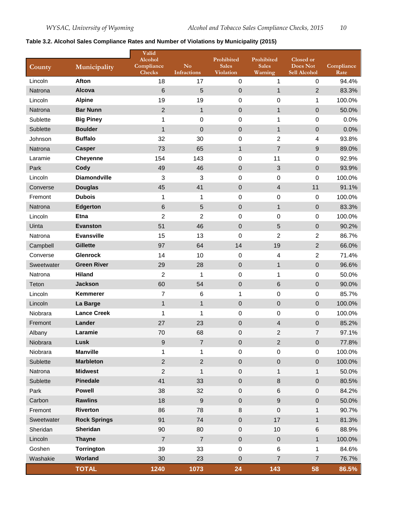### <span id="page-9-0"></span>**Table 3.2. Alcohol Sales Compliance Rates and Number of Violations by Municipality (2015)**

| County     | Municipality        | Valid<br>Alcohol<br>Compliance<br><b>Checks</b> | N <sub>o</sub><br><b>Infractions</b> | Prohibited<br><b>Sales</b><br><b>Violation</b> | Prohibited<br><b>Sales</b><br>Warning | Closed or<br>Does Not<br>Sell Alcohol | Compliance<br>Rate |
|------------|---------------------|-------------------------------------------------|--------------------------------------|------------------------------------------------|---------------------------------------|---------------------------------------|--------------------|
| Lincoln    | Afton               | 18                                              | 17                                   | $\pmb{0}$                                      | $\mathbf{1}$                          | $\pmb{0}$                             | 94.4%              |
| Natrona    | Alcova              | 6                                               | 5                                    | $\mathbf 0$                                    | $\mathbf{1}$                          | $\overline{2}$                        | 83.3%              |
| Lincoln    | <b>Alpine</b>       | 19                                              | 19                                   | 0                                              | $\mathbf 0$                           | 1                                     | 100.0%             |
| Natrona    | <b>Bar Nunn</b>     | $\overline{2}$                                  | $\mathbf{1}$                         | $\mathbf 0$                                    | $\mathbf{1}$                          | 0                                     | 50.0%              |
| Sublette   | <b>Big Piney</b>    | 1                                               | 0                                    | $\mathbf 0$                                    | 1                                     | $\boldsymbol{0}$                      | 0.0%               |
| Sublette   | <b>Boulder</b>      | 1                                               | $\mathbf 0$                          | $\pmb{0}$                                      | $\mathbf{1}$                          | 0                                     | 0.0%               |
| Johnson    | <b>Buffalo</b>      | 32                                              | 30                                   | $\mathbf 0$                                    | $\overline{c}$                        | 4                                     | 93.8%              |
| Natrona    | <b>Casper</b>       | 73                                              | 65                                   | $\mathbf{1}$                                   | $\overline{7}$                        | 9                                     | 89.0%              |
| Laramie    | <b>Cheyenne</b>     | 154                                             | 143                                  | 0                                              | 11                                    | $\pmb{0}$                             | 92.9%              |
| Park       | Cody                | 49                                              | 46                                   | $\pmb{0}$                                      | $\ensuremath{\mathsf{3}}$             | $\boldsymbol{0}$                      | 93.9%              |
| Lincoln    | <b>Diamondville</b> | 3                                               | 3                                    | 0                                              | $\boldsymbol{0}$                      | 0                                     | 100.0%             |
| Converse   | <b>Douglas</b>      | 45                                              | 41                                   | 0                                              | $\overline{4}$                        | 11                                    | 91.1%              |
| Fremont    | <b>Dubois</b>       | 1                                               | 1                                    | 0                                              | $\pmb{0}$                             | $\pmb{0}$                             | 100.0%             |
| Natrona    | <b>Edgerton</b>     | 6                                               | 5                                    | $\pmb{0}$                                      | $\mathbf{1}$                          | $\pmb{0}$                             | 83.3%              |
| Lincoln    | <b>Etna</b>         | $\overline{2}$                                  | $\overline{2}$                       | 0                                              | $\mathbf 0$                           | $\mathbf 0$                           | 100.0%             |
| Uinta      | <b>Evanston</b>     | 51                                              | 46                                   | $\pmb{0}$                                      | 5                                     | $\boldsymbol{0}$                      | 90.2%              |
| Natrona    | <b>Evansville</b>   | 15                                              | 13                                   | 0                                              | $\overline{c}$                        | 2                                     | 86.7%              |
| Campbell   | <b>Gillette</b>     | 97                                              | 64                                   | 14                                             | 19                                    | $\overline{2}$                        | 66.0%              |
| Converse   | <b>Glenrock</b>     | 14                                              | 10                                   | $\pmb{0}$                                      | 4                                     | $\overline{2}$                        | 71.4%              |
| Sweetwater | <b>Green River</b>  | 29                                              | 28                                   | $\pmb{0}$                                      | $\mathbf{1}$                          | $\pmb{0}$                             | 96.6%              |
| Natrona    | <b>Hiland</b>       | $\overline{c}$                                  | 1                                    | $\boldsymbol{0}$                               | 1                                     | $\pmb{0}$                             | 50.0%              |
| Teton      | <b>Jackson</b>      | 60                                              | 54                                   | $\pmb{0}$                                      | $6\phantom{1}6$                       | $\pmb{0}$                             | 90.0%              |
| Lincoln    | Kemmerer            | $\overline{7}$                                  | 6                                    | $\mathbf 1$                                    | $\boldsymbol{0}$                      | $\pmb{0}$                             | 85.7%              |
| Lincoln    | La Barge            | $\mathbf{1}$                                    | $\mathbf{1}$                         | $\pmb{0}$                                      | $\boldsymbol{0}$                      | $\mathbf 0$                           | 100.0%             |
| Niobrara   | <b>Lance Creek</b>  | 1                                               | 1                                    | 0                                              | $\pmb{0}$                             | 0                                     | 100.0%             |
| Fremont    | Lander              | 27                                              | 23                                   | 0                                              | 4                                     | 0                                     | 85.2%              |
| Albany     | Laramie             | 70                                              | 68                                   | $\mathbf 0$                                    | $\overline{2}$                        | 7                                     | 97.1%              |
| Niobrara   | Lusk                | $9\,$                                           | $\overline{7}$                       | $\pmb{0}$                                      | $\sqrt{2}$                            | $\mathbf 0$                           | 77.8%              |
| Niobrara   | <b>Manville</b>     | 1                                               | 1                                    | $\pmb{0}$                                      | $\boldsymbol{0}$                      | 0                                     | 100.0%             |
| Sublette   | <b>Marbleton</b>    | $\overline{2}$                                  | $\overline{2}$                       | $\mathbf 0$                                    | $\pmb{0}$                             | $\mathbf 0$                           | 100.0%             |
| Natrona    | <b>Midwest</b>      | $\overline{2}$                                  | 1                                    | $\,0\,$                                        | $\mathbf{1}$                          | 1                                     | 50.0%              |
| Sublette   | <b>Pinedale</b>     | 41                                              | 33                                   | $\mathbf 0$                                    | $\,8\,$                               | $\boldsymbol{0}$                      | 80.5%              |
| Park       | <b>Powell</b>       | 38                                              | 32                                   | $\pmb{0}$                                      | $\,6$                                 | 0                                     | 84.2%              |
| Carbon     | <b>Rawlins</b>      | 18                                              | $\boldsymbol{9}$                     | $\mathbf 0$                                    | $\boldsymbol{9}$                      | $\mathbf 0$                           | 50.0%              |
| Fremont    | <b>Riverton</b>     | 86                                              | 78                                   | 8                                              | $\pmb{0}$                             | 1                                     | 90.7%              |
| Sweetwater | <b>Rock Springs</b> | 91                                              | 74                                   | $\mathbf 0$                                    | 17                                    | $\mathbf 1$                           | 81.3%              |
| Sheridan   | Sheridan            | 90                                              | 80                                   | $\,0\,$                                        | 10                                    | 6                                     | 88.9%              |
| Lincoln    | <b>Thayne</b>       | $\overline{7}$                                  | $\overline{7}$                       | $\mathbf 0$                                    | $\pmb{0}$                             | 1                                     | 100.0%             |
| Goshen     | Torrington          | 39                                              | 33                                   | $\,0\,$                                        | $\,6$                                 | 1                                     | 84.6%              |
| Washakie   | Worland             | 30                                              | 23                                   | $\mathbf 0$                                    | $\overline{7}$                        | $\overline{7}$                        | 76.7%              |
|            | <b>TOTAL</b>        | 1240                                            | 1073                                 | 24                                             | 143                                   | 58                                    | 86.5%              |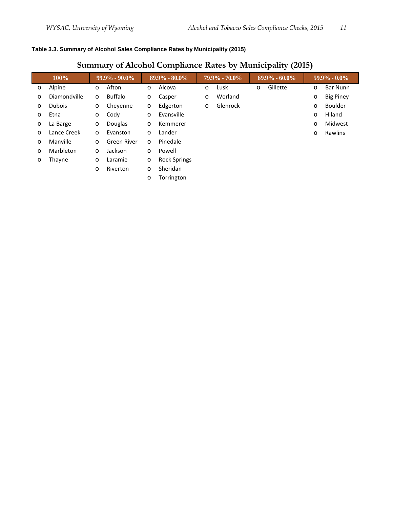#### <span id="page-10-0"></span>**Table 3.3. Summary of Alcohol Sales Compliance Rates by Municipality (2015)**

## **Summary of Alcohol Compliance Rates by Municipality (2015)**

| $100\%$ |               | $99.9\% - 90.0\%$ |             | $89.9\% - 80.0\%$ |                     | $79.9\% - 70.0\%$ |          | $69.9\% - 60.0\%$ |          | $59.9\% - 0.0\%$ |                  |
|---------|---------------|-------------------|-------------|-------------------|---------------------|-------------------|----------|-------------------|----------|------------------|------------------|
| O       | Alpine        | $\circ$           | Afton       | $\circ$           | Alcova              | $\circ$           | Lusk     | $\circ$           | Gillette | $\circ$          | Bar Nunn         |
| O       | Diamondville  | $\circ$           | Buffalo     | $\circ$           | Casper              | $\circ$           | Worland  |                   |          | $\circ$          | <b>Big Piney</b> |
| O       | <b>Dubois</b> | $\circ$           | Cheyenne    | $\circ$           | Edgerton            | $\circ$           | Glenrock |                   |          | $\circ$          | Boulder          |
| O       | Etna          | $\circ$           | Cody        | $\circ$           | Evansville          |                   |          |                   |          | O                | Hiland           |
| O       | La Barge      | $\circ$           | Douglas     | $\circ$           | Kemmerer            |                   |          |                   |          | $\circ$          | Midwest          |
| O       | Lance Creek   | $\circ$           | Evanston    | $\circ$           | Lander              |                   |          |                   |          | O                | Rawlins          |
| $\circ$ | Manville      | $\circ$           | Green River | $\circ$           | Pinedale            |                   |          |                   |          |                  |                  |
| $\circ$ | Marbleton     | $\circ$           | Jackson     | $\circ$           | Powell              |                   |          |                   |          |                  |                  |
| $\circ$ | Thayne        | $\circ$           | Laramie     | $\circ$           | <b>Rock Springs</b> |                   |          |                   |          |                  |                  |
|         |               | O                 | Riverton    | $\circ$           | Sheridan            |                   |          |                   |          |                  |                  |
|         |               |                   |             | $\circ$           | Torrington          |                   |          |                   |          |                  |                  |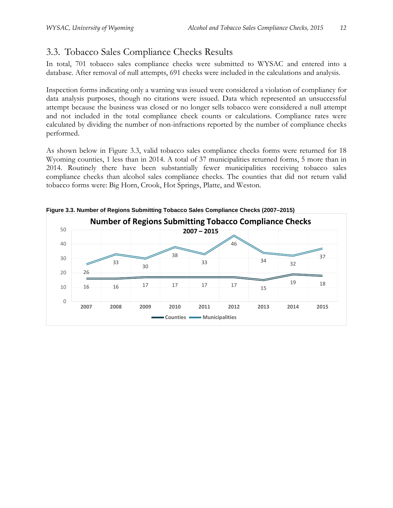## <span id="page-11-0"></span>3.3. Tobacco Sales Compliance Checks Results

In total, 701 tobacco sales compliance checks were submitted to WYSAC and entered into a database. After removal of null attempts, 691 checks were included in the calculations and analysis.

Inspection forms indicating only a warning was issued were considered a violation of compliancy for data analysis purposes, though no citations were issued. Data which represented an unsuccessful attempt because the business was closed or no longer sells tobacco were considered a null attempt and not included in the total compliance check counts or calculations. Compliance rates were calculated by dividing the number of non-infractions reported by the number of compliance checks performed.

As shown below in Figure 3.3, valid tobacco sales compliance checks forms were returned for 18 Wyoming counties, 1 less than in 2014. A total of 37 municipalities returned forms, 5 more than in 2014. Routinely there have been substantially fewer municipalities receiving tobacco sales compliance checks than alcohol sales compliance checks. The counties that did not return valid tobacco forms were: Big Horn, Crook, Hot Springs, Platte, and Weston.



<span id="page-11-1"></span>**Figure 3.3. Number of Regions Submitting Tobacco Sales Compliance Checks (2007–2015)**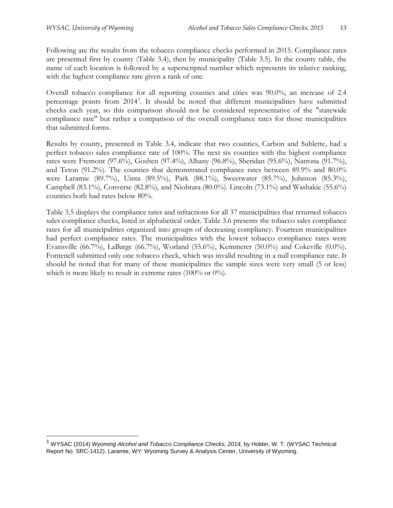$\overline{a}$ 

Following are the results from the tobacco compliance checks performed in 2015. Compliance rates are presented first by county (Table 3.4), then by municipality (Table 3.5). In the county table, the name of each location is followed by a superscripted number which represents its relative ranking, with the highest compliance rate given a rank of one.

Overall tobacco compliance for all reporting counties and cities was 90.0%, an increase of 2.4 percentage points from 2014<sup>[3](#page-12-0)</sup>. It should be noted that different municipalities have submitted checks each year, so this comparison should not be considered representative of the "statewide compliance rate" but rather a comparison of the overall compliance rates for those municipalities that submitted forms.

Results by county, presented in Table 3.4, indicate that two counties, Carbon and Sublette, had a perfect tobacco sales compliance rate of 100%. The next six counties with the highest compliance rates were Fremont (97.6%), Goshen (97.4%), Albany (96.8%), Sheridan (95.6%), Natrona (91.7%), and Teton (91.2%). The counties that demonstrated compliance rates between 89.9% and 80.0% were Laramie (89.7%), Uinta (89.5%), Park (88.1%), Sweetwater (85.7%), Johnson (85.3%), Campbell (83.1%), Converse (82.8%), and Niobrara (80.0%). Lincoln (73.1%) and Washakie (55.6%) counties both had rates below 80%.

Table 3.5 displays the compliance rates and infractions for all 37 municipalities that returned tobacco sales compliance checks, listed in alphabetical order. Table 3.6 presents the tobacco sales compliance rates for all municipalities organized into groups of decreasing compliancy. Fourteen municipalities had perfect compliance rates. The municipalities with the lowest tobacco compliance rates were Evansville (66.7%), LaBarge (66.7%), Worland (55.6%), Kemmerer (50.0%) and Cokeville (0.0%). Fontenell submitted only one tobacco check, which was invalid resulting in a null compliance rate. It should be noted that for many of these municipalities the sample sizes were very small (5 or less) which is more likely to result in extreme rates (100% or 0%).

<span id="page-12-0"></span><sup>&</sup>lt;sup>3</sup> WYSAC (2014) *Wyoming Alcohol and Tobacco Compliance Checks, 2014,* by Holder, W. T. (WYSAC Technical Report No. SRC-1412). Laramie, WY: Wyoming Survey & Analysis Center, University of Wyoming.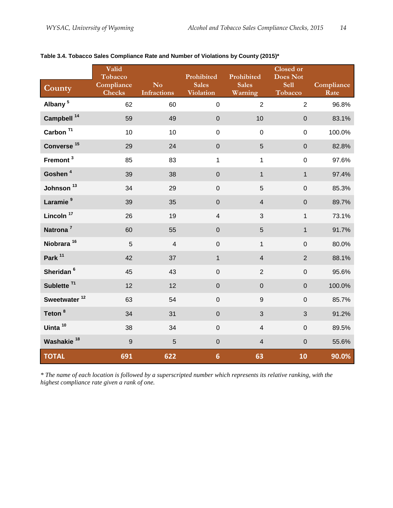| County                   | Valid<br>Tobacco<br>Compliance<br><b>Checks</b> | N <sub>o</sub><br><b>Infractions</b> | Prohibited<br><b>Sales</b><br><b>Violation</b> | Prohibited<br><b>Sales</b><br>Warning | <b>Closed or</b><br><b>Does Not</b><br><b>Sell</b><br>Tobacco | Compliance<br>Rate |
|--------------------------|-------------------------------------------------|--------------------------------------|------------------------------------------------|---------------------------------------|---------------------------------------------------------------|--------------------|
| Albany <sup>5</sup>      | 62                                              | 60                                   | $\boldsymbol{0}$                               | $\overline{2}$                        | $\overline{2}$                                                | 96.8%              |
| Campbell <sup>14</sup>   | 59                                              | 49                                   | $\mathbf 0$                                    | 10                                    | $\pmb{0}$                                                     | 83.1%              |
| Carbon $T1$              | 10                                              | 10                                   | $\mathbf 0$                                    | $\mathbf 0$                           | $\mathbf 0$                                                   | 100.0%             |
| Converse <sup>15</sup>   | 29                                              | 24                                   | $\mathbf 0$                                    | 5                                     | $\mathbf 0$                                                   | 82.8%              |
| Fremont <sup>3</sup>     | 85                                              | 83                                   | 1                                              | $\mathbf 1$                           | $\mathsf 0$                                                   | 97.6%              |
| Goshen <sup>4</sup>      | 39                                              | 38                                   | $\mathbf 0$                                    | $\mathbf{1}$                          | $\mathbf{1}$                                                  | 97.4%              |
| Johnson <sup>13</sup>    | 34                                              | 29                                   | $\boldsymbol{0}$                               | $\overline{5}$                        | $\boldsymbol{0}$                                              | 85.3%              |
| Laramie <sup>9</sup>     | 39                                              | 35                                   | $\boldsymbol{0}$                               | $\overline{4}$                        | $\overline{0}$                                                | 89.7%              |
| Lincoln <sup>17</sup>    | 26                                              | 19                                   | $\overline{\mathbf{4}}$                        | $\mathbf{3}$                          | $\mathbf{1}$                                                  | 73.1%              |
| Natrona <sup>7</sup>     | 60                                              | 55                                   | $\boldsymbol{0}$                               | 5                                     | $\mathbf{1}$                                                  | 91.7%              |
| Niobrara <sup>16</sup>   | 5                                               | $\overline{4}$                       | $\boldsymbol{0}$                               | $\mathbf{1}$                          | $\mathbf 0$                                                   | 80.0%              |
| Park <sup>11</sup>       | 42                                              | 37                                   | $\mathbf{1}$                                   | $\overline{4}$                        | $\overline{2}$                                                | 88.1%              |
| Sheridan <sup>6</sup>    | 45                                              | 43                                   | $\mathbf 0$                                    | $\overline{2}$                        | $\pmb{0}$                                                     | 95.6%              |
| Sublette <sup>T1</sup>   | 12                                              | 12                                   | $\mathbf 0$                                    | $\mathbf 0$                           | $\overline{0}$                                                | 100.0%             |
| Sweetwater <sup>12</sup> | 63                                              | 54                                   | $\mathbf 0$                                    | $\overline{9}$                        | $\mathbf 0$                                                   | 85.7%              |
| Teton <sup>8</sup>       | 34                                              | 31                                   | $\boldsymbol{0}$                               | 3                                     | 3                                                             | 91.2%              |
| Uinta <sup>10</sup>      | 38                                              | 34                                   | $\boldsymbol{0}$                               | $\overline{4}$                        | $\mathsf 0$                                                   | 89.5%              |
| Washakie <sup>18</sup>   | $\overline{9}$                                  | $5\phantom{.}$                       | $\mathbf 0$                                    | $\overline{4}$                        | $\mathbf 0$                                                   | 55.6%              |
| <b>TOTAL</b>             | 691                                             | 622                                  | $6\phantom{1}$                                 | 63                                    | 10                                                            | 90.0%              |

#### <span id="page-13-0"></span>**Table 3.4. Tobacco Sales Compliance Rate and Number of Violations by County (2015)\***

*\* The name of each location is followed by a superscripted number which represents its relative ranking, with the highest compliance rate given a rank of one.*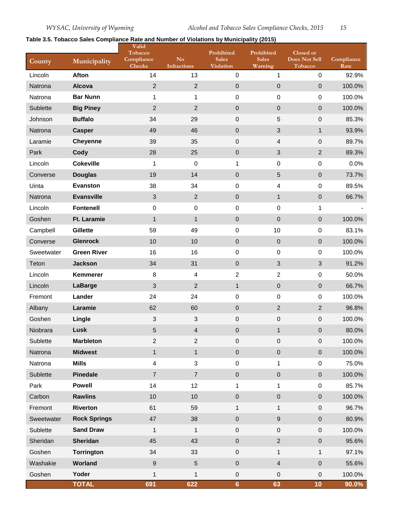#### <span id="page-14-0"></span>**Table 3.5. Tobacco Sales Compliance Rate and Number of Violations by Municipality (2015)**

| County     | Municipality        | Valid<br>Tobacco<br>Compliance<br><b>Checks</b> | No<br><b>Infractions</b> | Prohibited<br><b>Sales</b><br><b>Violation</b> | Prohibited<br><b>Sales</b><br>Warning | Closed or<br><b>Does Not Sell</b><br>Tobacco | Compliance<br>Rate |
|------------|---------------------|-------------------------------------------------|--------------------------|------------------------------------------------|---------------------------------------|----------------------------------------------|--------------------|
| Lincoln    | <b>Afton</b>        | 14                                              | 13                       | 0                                              | $\mathbf{1}$                          | $\mathbf 0$                                  | 92.9%              |
| Natrona    | Alcova              | $\overline{2}$                                  | $\overline{2}$           | $\pmb{0}$                                      | $\mathbf 0$                           | $\mathbf 0$                                  | 100.0%             |
| Natrona    | <b>Bar Nunn</b>     | $\mathbf{1}$                                    | 1                        | 0                                              | $\mathbf 0$                           | $\mathbf 0$                                  | 100.0%             |
| Sublette   | <b>Big Piney</b>    | $\overline{2}$                                  | $\overline{2}$           | $\pmb{0}$                                      | $\pmb{0}$                             | $\mathbf 0$                                  | 100.0%             |
| Johnson    | <b>Buffalo</b>      | 34                                              | 29                       | $\mathsf 0$                                    | 5                                     | 0                                            | 85.3%              |
| Natrona    | <b>Casper</b>       | 49                                              | 46                       | $\mathbf 0$                                    | $\sqrt{3}$                            | $\mathbf{1}$                                 | 93.9%              |
| Laramie    | <b>Cheyenne</b>     | 39                                              | 35                       | $\boldsymbol{0}$                               | $\overline{4}$                        | $\mathbf 0$                                  | 89.7%              |
| Park       | Cody                | 28                                              | 25                       | $\mathsf 0$                                    | $\mathfrak{S}$                        | $\sqrt{2}$                                   | 89.3%              |
| Lincoln    | <b>Cokeville</b>    | $\mathbf 1$                                     | $\boldsymbol{0}$         | $\mathbf{1}$                                   | $\pmb{0}$                             | $\boldsymbol{0}$                             | 0.0%               |
| Converse   | <b>Douglas</b>      | 19                                              | 14                       | $\mathbf 0$                                    | 5                                     | $\pmb{0}$                                    | 73.7%              |
| Uinta      | <b>Evanston</b>     | 38                                              | 34                       | 0                                              | $\overline{\mathbf{4}}$               | $\mathbf 0$                                  | 89.5%              |
| Natrona    | <b>Evansville</b>   | $\sqrt{3}$                                      | $\overline{2}$           | 0                                              | $\mathbf{1}$                          | $\boldsymbol{0}$                             | 66.7%              |
| Lincoln    | <b>Fontenell</b>    | $\pmb{0}$                                       | $\boldsymbol{0}$         | $\pmb{0}$                                      | $\mathbf 0$                           | 1                                            |                    |
| Goshen     | <b>Ft. Laramie</b>  | $\mathbf{1}$                                    | $\mathbf{1}$             | $\pmb{0}$                                      | $\pmb{0}$                             | $\mathbf 0$                                  | 100.0%             |
| Campbell   | <b>Gillette</b>     | 59                                              | 49                       | 0                                              | 10                                    | 0                                            | 83.1%              |
| Converse   | <b>Glenrock</b>     | 10                                              | 10                       | $\pmb{0}$                                      | $\pmb{0}$                             | $\boldsymbol{0}$                             | 100.0%             |
| Sweetwater | <b>Green River</b>  | 16                                              | 16                       | 0                                              | $\pmb{0}$                             | $\pmb{0}$                                    | 100.0%             |
| Teton      | <b>Jackson</b>      | 34                                              | 31                       | $\pmb{0}$                                      | 3                                     | 3                                            | 91.2%              |
| Lincoln    | Kemmerer            | 8                                               | 4                        | $\overline{c}$                                 | $\overline{2}$                        | $\pmb{0}$                                    | 50.0%              |
| Lincoln    | <b>LaBarge</b>      | $\mathfrak{S}$                                  | $\overline{2}$           | $\mathbf{1}$                                   | $\mathbf 0$                           | $\mathbf 0$                                  | 66.7%              |
| Fremont    | Lander              | 24                                              | 24                       | 0                                              | $\mathbf 0$                           | $\mathbf 0$                                  | 100.0%             |
| Albany     | Laramie             | 62                                              | 60                       | $\pmb{0}$                                      | $\overline{2}$                        | $\overline{2}$                               | 96.8%              |
| Goshen     | Lingle              | $\ensuremath{\mathsf{3}}$                       | 3                        | $\pmb{0}$                                      | $\mathsf 0$                           | $\boldsymbol{0}$                             | 100.0%             |
| Niobrara   | Lusk                | 5                                               | 4                        | $\mathbf 0$                                    | $\mathbf{1}$                          | $\overline{0}$                               | 80.0%              |
| Sublette   | <b>Marbleton</b>    | $\overline{2}$                                  | $\sqrt{2}$               | 0                                              | $\mathbf 0$                           | $\boldsymbol{0}$                             | 100.0%             |
| Natrona    | <b>Midwest</b>      | $\mathbf 1$                                     | $\mathbf{1}$             | $\mathbf 0$                                    | $\mathbf 0$                           | $\mathbf 0$                                  | 100.0%             |
| Natrona    | <b>Mills</b>        | 4                                               | 3                        | $\pmb{0}$                                      | $\mathbf{1}$                          | $\boldsymbol{0}$                             | 75.0%              |
| Sublette   | <b>Pinedale</b>     | $\overline{7}$                                  | $\overline{7}$           | $\mathbf 0$                                    | $\pmb{0}$                             | $\mathbf 0$                                  | 100.0%             |
| Park       | <b>Powell</b>       | 14                                              | 12                       | 1                                              | $\mathbf 1$                           | $\boldsymbol{0}$                             | 85.7%              |
| Carbon     | <b>Rawlins</b>      | 10                                              | 10                       | $\mathbf 0$                                    | $\mathbf 0$                           | $\pmb{0}$                                    | 100.0%             |
| Fremont    | <b>Riverton</b>     | 61                                              | 59                       | 1                                              | 1                                     | $\pmb{0}$                                    | 96.7%              |
| Sweetwater | <b>Rock Springs</b> | 47                                              | 38                       | $\mathbf 0$                                    | $\boldsymbol{9}$                      | $\pmb{0}$                                    | 80.9%              |
| Sublette   | <b>Sand Draw</b>    | $\mathbf{1}$                                    | $\mathbf{1}$             | $\mathsf 0$                                    | $\mathbf 0$                           | $\boldsymbol{0}$                             | 100.0%             |
| Sheridan   | Sheridan            | 45                                              | 43                       | $\mathbf 0$                                    | $\sqrt{2}$                            | $\pmb{0}$                                    | 95.6%              |
| Goshen     | <b>Torrington</b>   | 34                                              | 33                       | $\mathsf 0$                                    | $\mathbf{1}$                          | $\mathbf{1}$                                 | 97.1%              |
| Washakie   | Worland             | $\boldsymbol{9}$                                | $\sqrt{5}$               | $\mathbf 0$                                    | $\overline{\mathbf{4}}$               | $\pmb{0}$                                    | 55.6%              |
| Goshen     | Yoder               | $\mathbf 1$                                     | 1                        | $\mathsf 0$                                    | $\mathsf 0$                           | $\mathsf 0$                                  | 100.0%             |
|            | <b>TOTAL</b>        | 691                                             | 622                      | $6\phantom{a}$                                 | 63                                    | 10                                           | $90.0\%$           |